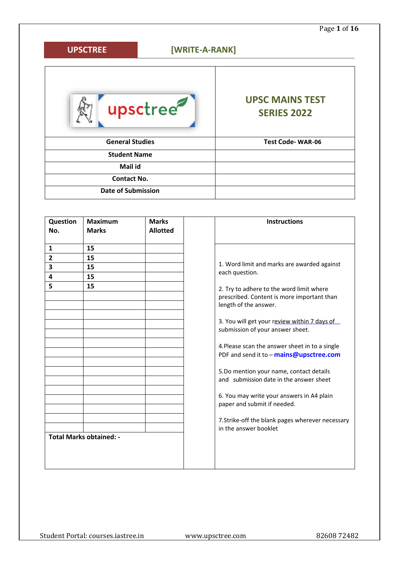# **[WRITE-A-RANK] UPSCTREE**upsctree **UPSC MAINS TEST SERIES 2022 General Studies Test Code- WAR-06 Student Name Mail id Contact No. Date of Submission**

| Question<br>No.         | <b>Maximum</b><br><b>Marks</b> | <b>Marks</b><br><b>Allotted</b> | <b>Instructions</b>                                                                                             |
|-------------------------|--------------------------------|---------------------------------|-----------------------------------------------------------------------------------------------------------------|
| $\mathbf{1}$            | 15                             |                                 |                                                                                                                 |
| $\overline{2}$          | 15                             |                                 |                                                                                                                 |
| $\overline{\mathbf{3}}$ | 15                             |                                 | 1. Word limit and marks are awarded against                                                                     |
| $\overline{\mathbf{4}}$ | 15                             |                                 | each question.                                                                                                  |
| 5                       | 15                             |                                 | 2. Try to adhere to the word limit where<br>prescribed. Content is more important than<br>length of the answer. |
|                         |                                |                                 | 3. You will get your review within 7 days of<br>submission of your answer sheet.                                |
|                         |                                |                                 | 4. Please scan the answer sheet in to a single<br>PDF and send it to - mains@upsctree.com                       |
|                         |                                |                                 | 5.Do mention your name, contact details<br>and submission date in the answer sheet                              |
|                         |                                |                                 | 6. You may write your answers in A4 plain<br>paper and submit if needed.                                        |
|                         |                                |                                 | 7. Strike-off the blank pages wherever necessary<br>in the answer booklet                                       |
|                         | <b>Total Marks obtained: -</b> |                                 |                                                                                                                 |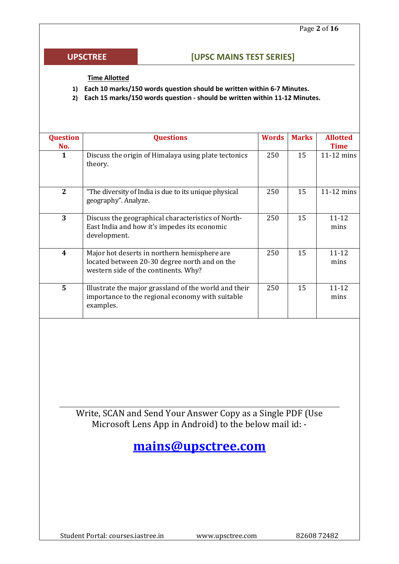### **UPSCTREE**

## **[UPSC MAINS TEST SERIES]**

#### **Time Allotted**

- **1) Each 10 marks/150 words question should be written within 6-7 Minutes.**
- **2) Each 15 marks/150 words question - should be written within 11-12 Minutes.**

| <b>Question</b><br>No. | <b>Questions</b>                                                                                                                      | <b>Words</b> | <b>Marks</b> | <b>Allotted</b><br><b>Time</b> |  |  |  |
|------------------------|---------------------------------------------------------------------------------------------------------------------------------------|--------------|--------------|--------------------------------|--|--|--|
| 1                      | Discuss the origin of Himalaya using plate tectonics<br>theory.                                                                       | 250          | 15           | $11-12$ mins                   |  |  |  |
| $\mathbf{2}$           | "The diversity of India is due to its unique physical<br>geography". Analyze.                                                         | 250          | 15           | $11-12$ mins                   |  |  |  |
| 3                      | Discuss the geographical characteristics of North-<br>East India and how it's impedes its economic<br>development.                    | 250          | 15           | $11 - 12$<br>mins              |  |  |  |
| 4                      | Major hot deserts in northern hemisphere are<br>located between 20-30 degree north and on the<br>western side of the continents. Why? | 250          | 15           | $11 - 12$<br>mins              |  |  |  |
| 5                      | Illustrate the major grassland of the world and their<br>importance to the regional economy with suitable<br>examples.                | 250          | 15           | $11 - 12$<br>mins              |  |  |  |

Write, SCAN and Send Your Answer Copy as a Single PDF (Use Microsoft Lens App in Android) to the below mail id: -

**[mains@upsctree.com](mailto:mains@upsctree.com)**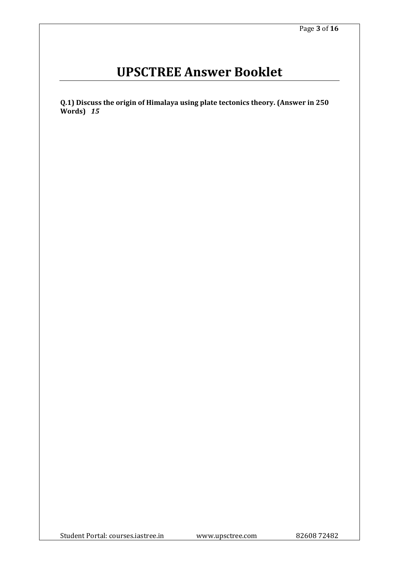# **UPSCTREE Answer Booklet**

**Q.1) Discuss the origin of Himalaya using plate tectonics theory. (Answer in 250 Words)** *15*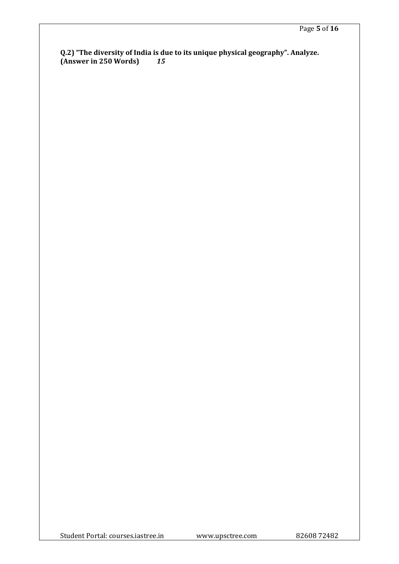**Q.2) "The diversity of India is due to its unique physical geography". Analyze. (Answer in 250 Words)** *15*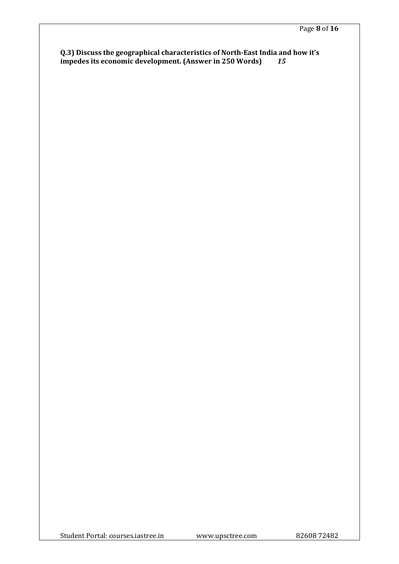**Q.3) Discuss the geographical characteristics of North-East India and how it's impedes its economic development. (Answer in 250 Words)** *15*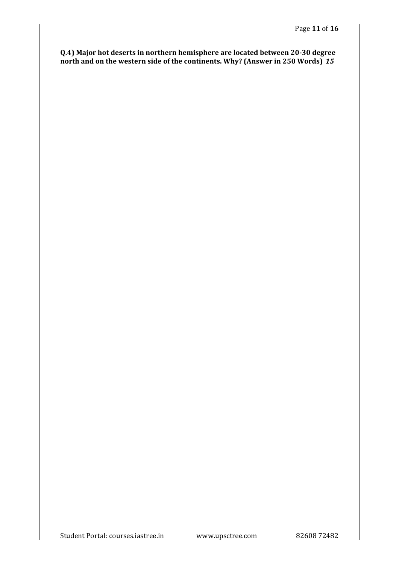**Q.4) Major hot deserts in northern hemisphere are located between 20-30 degree north and on the western side of the continents. Why? (Answer in 250 Words)** *15*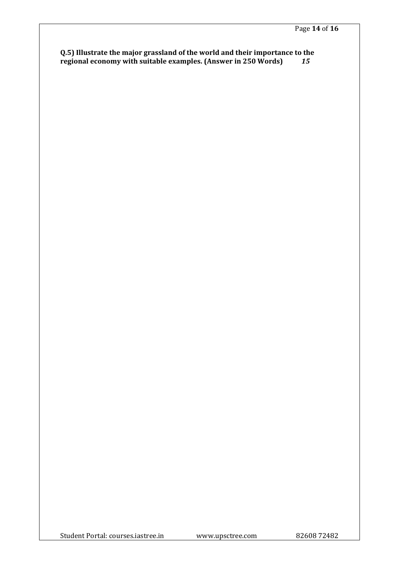### **Q.5) Illustrate the major grassland of the world and their importance to the regional economy with suitable examples. (Answer in 250 Words)** *15*